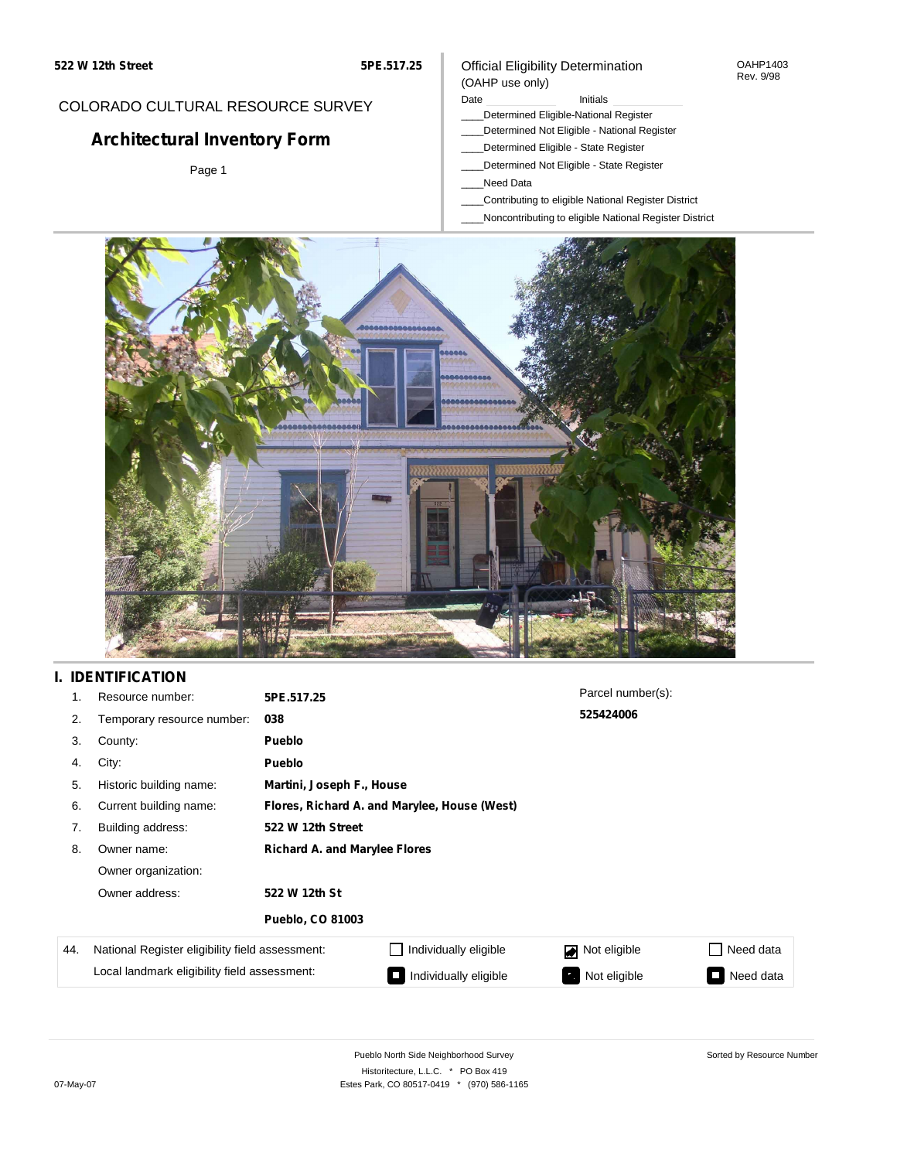#### OAHP1403 Rev. 9/98

### COLORADO CULTURAL RESOURCE SURVEY

# **Architectural Inventory Form**

Page 1

#### (OAHP use only) Date **Initials** Initials

Official Eligibility Determination

- \_\_\_\_Determined Eligible-National Register
- \_\_\_\_Determined Not Eligible National Register
- \_\_\_\_Determined Eligible State Register
- \_\_\_\_Determined Not Eligible State Register
- \_\_\_\_Need Data
- \_\_\_\_Contributing to eligible National Register District
- \_\_\_\_Noncontributing to eligible National Register District



## **I. IDENTIFICATION**

| 1.  | Resource number:                                | 5PE.517.25                                   |                                 | Parcel number(s):         |                     |  |
|-----|-------------------------------------------------|----------------------------------------------|---------------------------------|---------------------------|---------------------|--|
| 2.  | Temporary resource number:                      | 038                                          |                                 | 525424006                 |                     |  |
| 3.  | County:                                         | <b>Pueblo</b>                                |                                 |                           |                     |  |
| 4.  | City:                                           | <b>Pueblo</b>                                |                                 |                           |                     |  |
| 5.  | Historic building name:                         | Martini, Joseph F., House                    |                                 |                           |                     |  |
| 6.  | Current building name:                          | Flores, Richard A. and Marylee, House (West) |                                 |                           |                     |  |
| 7.  | Building address:                               | 522 W 12th Street                            |                                 |                           |                     |  |
| 8.  | Owner name:                                     | <b>Richard A. and Marylee Flores</b>         |                                 |                           |                     |  |
|     | Owner organization:                             |                                              |                                 |                           |                     |  |
|     | Owner address:                                  | 522 W 12th St                                |                                 |                           |                     |  |
|     |                                                 | <b>Pueblo, CO 81003</b>                      |                                 |                           |                     |  |
| 44. | National Register eligibility field assessment: |                                              | Individually eligible           | Not eligible              | Need data           |  |
|     | Local landmark eligibility field assessment:    |                                              | Individually eligible<br>$\sim$ | Not eligible<br>$\bullet$ | Need data<br>$\sim$ |  |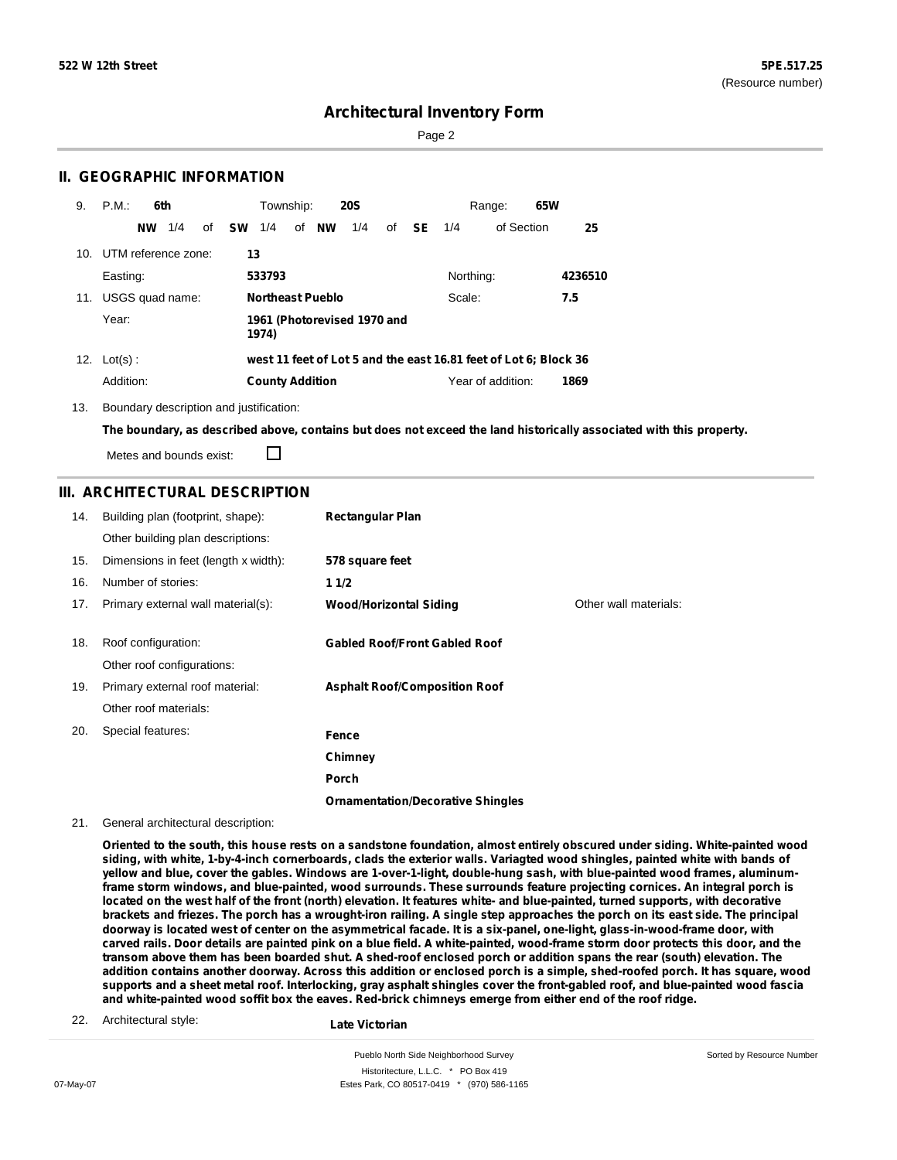Sorted by Resource Number

### **Architectural Inventory Form**

Page 2

### **II. GEOGRAPHIC INFORMATION**

| 9.              | P.M.<br>6th            | <b>20S</b><br>Township:                | 65W<br>Range:                                                    |
|-----------------|------------------------|----------------------------------------|------------------------------------------------------------------|
|                 | 1/4<br>of<br><b>NW</b> | sw<br>of <b>NW</b><br>1/4<br>1/4<br>of | - SE<br>of Section<br>25<br>1/4                                  |
| 10 <sub>1</sub> | UTM reference zone:    | 13                                     |                                                                  |
|                 | Easting:               | 533793                                 | Northing:<br>4236510                                             |
| 11.             | USGS quad name:        | <b>Northeast Pueblo</b>                | Scale:<br>7.5                                                    |
|                 | Year:                  | 1961 (Photorevised 1970 and<br>1974)   |                                                                  |
| 12.             | $Lot(s)$ :             |                                        | west 11 feet of Lot 5 and the east 16.81 feet of Lot 6; Block 36 |
|                 | Addition:              | <b>County Addition</b>                 | Year of addition:<br>1869                                        |

13. Boundary description and justification:

The boundary, as described above, contains but does not exceed the land historically associated with this property.

Metes and bounds exist:

П

#### **III. ARCHITECTURAL DESCRIPTION**

| 14. | Building plan (footprint, shape):    | <b>Rectangular Plan</b>                  |                       |
|-----|--------------------------------------|------------------------------------------|-----------------------|
|     | Other building plan descriptions:    |                                          |                       |
| 15. | Dimensions in feet (length x width): | 578 square feet                          |                       |
| 16. | Number of stories:                   | 11/2                                     |                       |
| 17. | Primary external wall material(s):   | <b>Wood/Horizontal Siding</b>            | Other wall materials: |
|     |                                      |                                          |                       |
| 18. | Roof configuration:                  | <b>Gabled Roof/Front Gabled Roof</b>     |                       |
|     | Other roof configurations:           |                                          |                       |
| 19. | Primary external roof material:      | <b>Asphalt Roof/Composition Roof</b>     |                       |
|     | Other roof materials:                |                                          |                       |
| 20. | Special features:                    | Fence                                    |                       |
|     |                                      | Chimney                                  |                       |
|     |                                      | <b>Porch</b>                             |                       |
|     |                                      | <b>Ornamentation/Decorative Shingles</b> |                       |

21. General architectural description:

Oriented to the south, this house rests on a sandstone foundation, almost entirely obscured under siding. White-painted wood siding, with white, 1-by-4-inch cornerboards, clads the exterior walls. Variagted wood shingles, painted white with bands of yellow and blue, cover the gables. Windows are 1-over-1-light, double-hung sash, with blue-painted wood frames, aluminumframe storm windows, and blue-painted, wood surrounds. These surrounds feature projecting cornices. An integral porch is located on the west half of the front (north) elevation. It features white- and blue-painted, turned supports, with decorative brackets and friezes. The porch has a wrought-iron railing. A single step approaches the porch on its east side. The principal doorway is located west of center on the asymmetrical facade. It is a six-panel, one-light, glass-in-wood-frame door, with carved rails. Door details are painted pink on a blue field. A white-painted, wood-frame storm door protects this door, and the transom above them has been boarded shut. A shed-roof enclosed porch or addition spans the rear (south) elevation. The addition contains another doorway. Across this addition or enclosed porch is a simple, shed-roofed porch. It has square, wood supports and a sheet metal roof. Interlocking, gray asphalt shingles cover the front-gabled roof, and blue-painted wood fascia **and white-painted wood soffit box the eaves. Red-brick chimneys emerge from either end of the roof ridge.**

22. Architectural style:

**Late Victorian**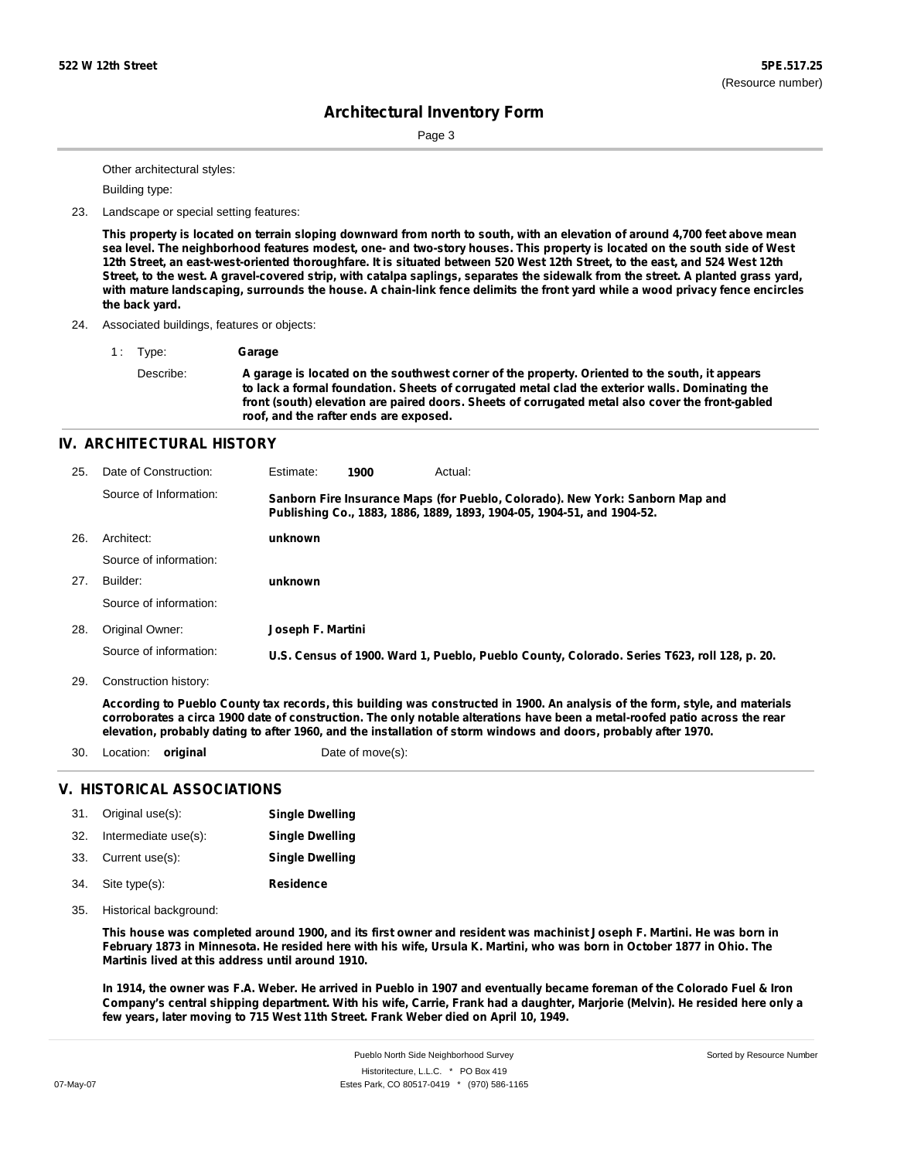Page 3

Other architectural styles:

Building type:

23. Landscape or special setting features:

This property is located on terrain sloping downward from north to south, with an elevation of around 4,700 feet above mean sea level. The neighborhood features modest, one- and two-story houses. This property is located on the south side of West 12th Street, an east-west-oriented thoroughfare. It is situated between 520 West 12th Street, to the east, and 524 West 12th Street, to the west. A gravel-covered strip, with catalpa saplings, separates the sidewalk from the street. A planted grass yard, with mature landscaping, surrounds the house. A chain-link fence delimits the front yard while a wood privacy fence encircles **the back yard.**

24. Associated buildings, features or objects:

1 : Type: **Garage**

Describe: **A garage is located on the southwest corner of the property. Oriented to the south, it appears to lack a formal foundation. Sheets of corrugated metal clad the exterior walls. Dominating the front (south) elevation are paired doors. Sheets of corrugated metal also cover the front-gabled roof, and the rafter ends are exposed.**

### **IV. ARCHITECTURAL HISTORY**

| 25. | Date of Construction:  | Estimate:         | 1900 | Actual:                                                                                                                                                 |
|-----|------------------------|-------------------|------|---------------------------------------------------------------------------------------------------------------------------------------------------------|
|     | Source of Information: |                   |      | Sanborn Fire Insurance Maps (for Pueblo, Colorado). New York: Sanborn Map and<br>Publishing Co., 1883, 1886, 1889, 1893, 1904-05, 1904-51, and 1904-52. |
| 26. | Architect:             | unknown           |      |                                                                                                                                                         |
|     | Source of information: |                   |      |                                                                                                                                                         |
| 27. | Builder:               | unknown           |      |                                                                                                                                                         |
|     | Source of information: |                   |      |                                                                                                                                                         |
| 28. | Original Owner:        | Joseph F. Martini |      |                                                                                                                                                         |
|     | Source of information: |                   |      | U.S. Census of 1900. Ward 1, Pueblo, Pueblo County, Colorado. Series T623, roll 128, p. 20.                                                             |
|     |                        |                   |      |                                                                                                                                                         |

Construction history: 29.

> According to Pueblo County tax records, this building was constructed in 1900. An analysis of the form, style, and materials corroborates a circa 1900 date of construction. The only notable alterations have been a metal-roofed patio across the rear elevation, probably dating to after 1960, and the installation of storm windows and doors, probably after 1970.

30. Location: **original** Date of move(s):

#### **V. HISTORICAL ASSOCIATIONS**

| 31. Original use(s):     | <b>Single Dwelling</b> |
|--------------------------|------------------------|
| 32. Intermediate use(s): | <b>Single Dwelling</b> |
| 33. Current use(s):      | <b>Single Dwelling</b> |
| 34. Site type(s):        | <b>Residence</b>       |

35. Historical background:

This house was completed around 1900, and its first owner and resident was machinist Joseph F. Martini. He was born in February 1873 in Minnesota. He resided here with his wife, Ursula K. Martini, who was born in October 1877 in Ohio. The **Martinis lived at this address until around 1910.**

In 1914, the owner was F.A. Weber. He arrived in Pueblo in 1907 and eventually became foreman of the Colorado Fuel & Iron Company's central shipping department. With his wife, Carrie, Frank had a daughter, Marjorie (Melvin). He resided here only a **few years, later moving to 715 West 11th Street. Frank Weber died on April 10, 1949.**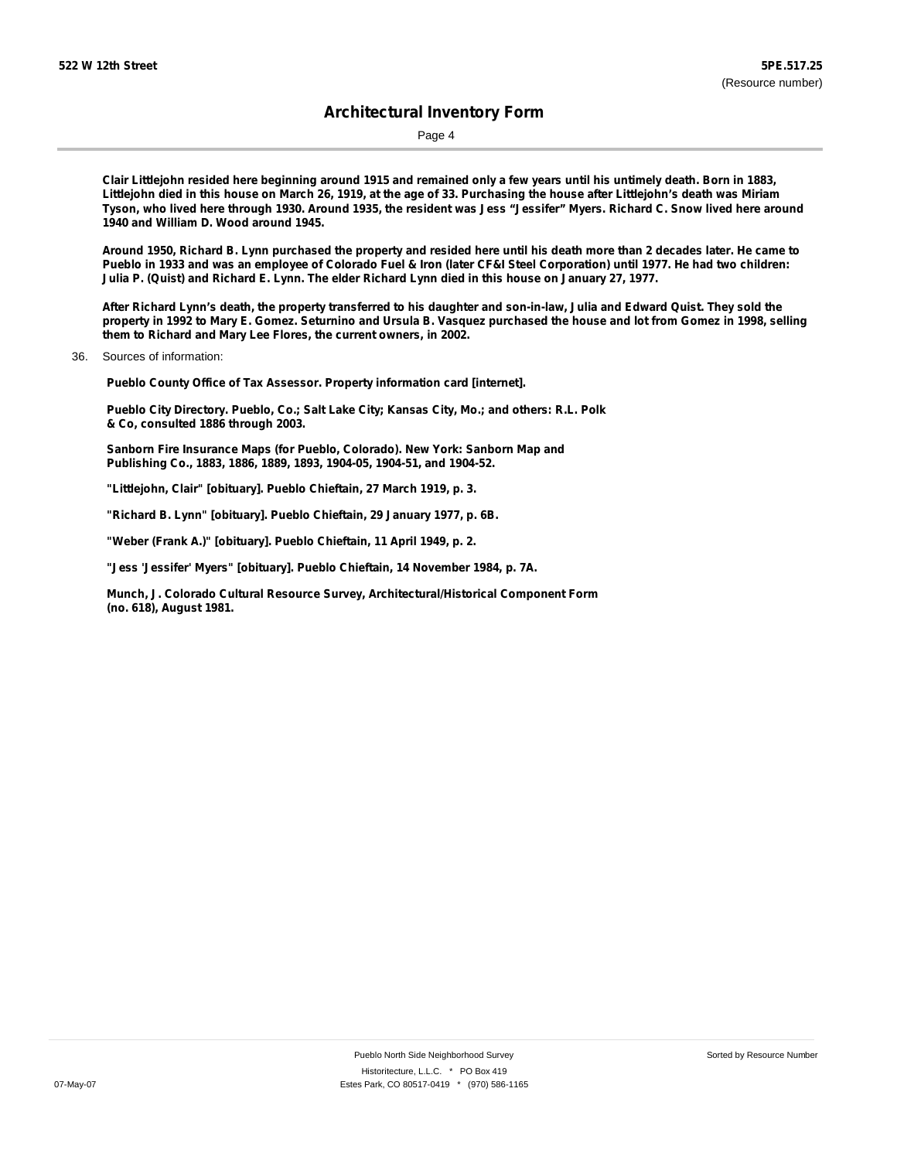Page 4

Clair Littlejohn resided here beginning around 1915 and remained only a few years until his untimely death. Born in 1883, Littlejohn died in this house on March 26, 1919, at the age of 33. Purchasing the house after Littlejohn's death was Miriam Tyson, who lived here through 1930. Around 1935, the resident was Jess "Jessifer" Myers. Richard C. Snow lived here around **1940 and William D. Wood around 1945.**

Around 1950, Richard B. Lynn purchased the property and resided here until his death more than 2 decades later. He came to Pueblo in 1933 and was an employee of Colorado Fuel & Iron (later CF&I Steel Corporation) until 1977. He had two children: Julia P. (Quist) and Richard E. Lynn. The elder Richard Lynn died in this house on January 27, 1977.

After Richard Lynn's death, the property transferred to his daughter and son-in-law, Julia and Edward Quist. They sold the property in 1992 to Mary E. Gomez. Seturnino and Ursula B. Vasquez purchased the house and lot from Gomez in 1998, selling **them to Richard and Mary Lee Flores, the current owners, in 2002.**

36. Sources of information:

**Pueblo County Office of Tax Assessor. Property information card [internet].**

**Pueblo City Directory. Pueblo, Co.; Salt Lake City; Kansas City, Mo.; and others: R.L. Polk & Co, consulted 1886 through 2003.**

**Sanborn Fire Insurance Maps (for Pueblo, Colorado). New York: Sanborn Map and Publishing Co., 1883, 1886, 1889, 1893, 1904-05, 1904-51, and 1904-52.**

**"Littlejohn, Clair" [obituary]. Pueblo Chieftain, 27 March 1919, p. 3.**

**"Richard B. Lynn" [obituary]. Pueblo Chieftain, 29 January 1977, p. 6B.**

**"Weber (Frank A.)" [obituary]. Pueblo Chieftain, 11 April 1949, p. 2.**

**"Jess 'Jessifer' Myers" [obituary]. Pueblo Chieftain, 14 November 1984, p. 7A.**

**Munch, J. Colorado Cultural Resource Survey, Architectural/Historical Component Form (no. 618), August 1981.**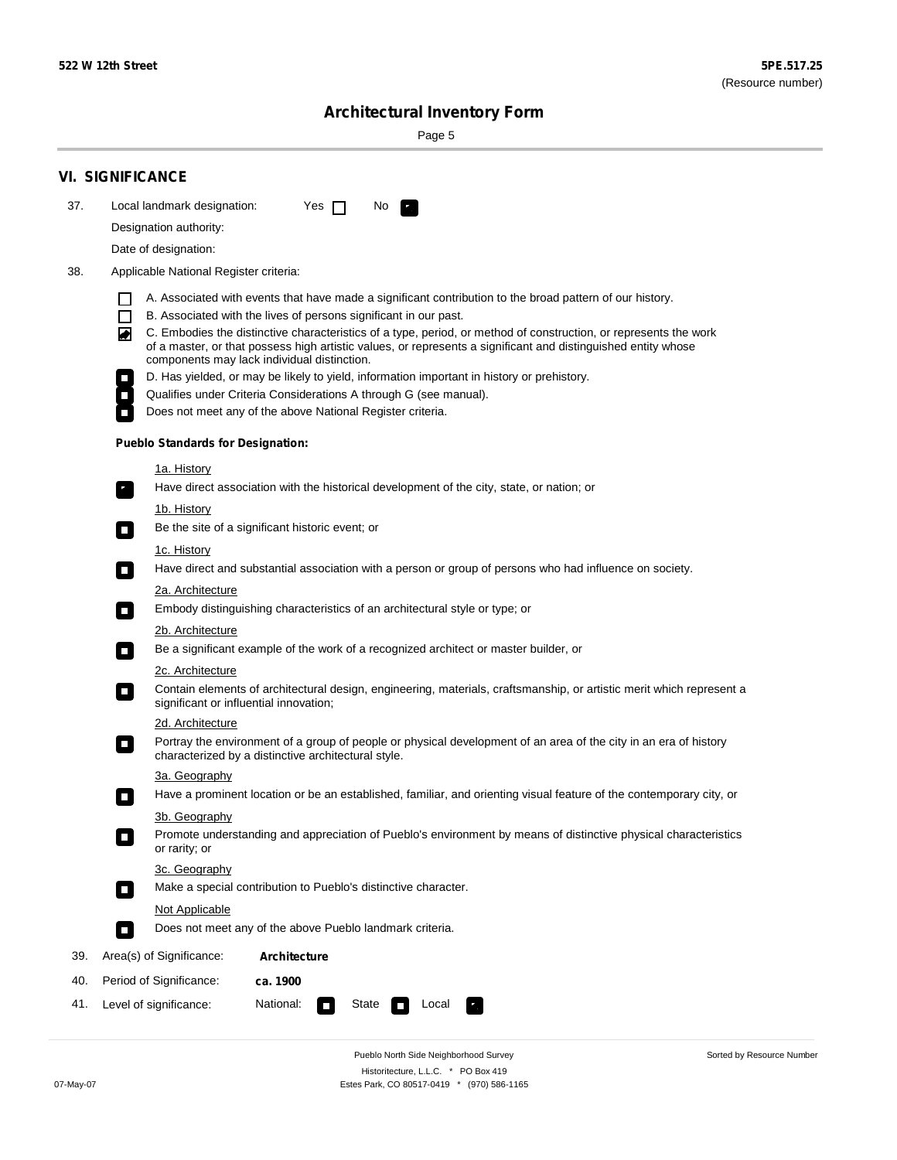Sorted by Resource Number

# **Architectural Inventory Form**

Page 5

|     | <b>VI. SIGNIFICANCE</b>                                                                                                                                                                                                                                                               |  |  |  |  |
|-----|---------------------------------------------------------------------------------------------------------------------------------------------------------------------------------------------------------------------------------------------------------------------------------------|--|--|--|--|
| 37. | Local landmark designation:<br>No.<br>Yes $\Box$                                                                                                                                                                                                                                      |  |  |  |  |
|     | Designation authority:                                                                                                                                                                                                                                                                |  |  |  |  |
|     | Date of designation:                                                                                                                                                                                                                                                                  |  |  |  |  |
| 38. | Applicable National Register criteria:                                                                                                                                                                                                                                                |  |  |  |  |
|     | A. Associated with events that have made a significant contribution to the broad pattern of our history.                                                                                                                                                                              |  |  |  |  |
|     | B. Associated with the lives of persons significant in our past.<br>$\Box$                                                                                                                                                                                                            |  |  |  |  |
|     | C. Embodies the distinctive characteristics of a type, period, or method of construction, or represents the work<br>◙<br>of a master, or that possess high artistic values, or represents a significant and distinguished entity whose<br>components may lack individual distinction. |  |  |  |  |
|     | D. Has yielded, or may be likely to yield, information important in history or prehistory.                                                                                                                                                                                            |  |  |  |  |
|     | Qualifies under Criteria Considerations A through G (see manual).                                                                                                                                                                                                                     |  |  |  |  |
|     | Does not meet any of the above National Register criteria.                                                                                                                                                                                                                            |  |  |  |  |
|     | <b>Pueblo Standards for Designation:</b>                                                                                                                                                                                                                                              |  |  |  |  |
|     | <u>1a. History</u>                                                                                                                                                                                                                                                                    |  |  |  |  |
|     | Have direct association with the historical development of the city, state, or nation; or<br>$\overline{\phantom{a}}$ .                                                                                                                                                               |  |  |  |  |
|     | <u>1b. History</u>                                                                                                                                                                                                                                                                    |  |  |  |  |
|     | Be the site of a significant historic event; or<br>$\Box$                                                                                                                                                                                                                             |  |  |  |  |
|     | 1c. History<br>Have direct and substantial association with a person or group of persons who had influence on society.<br>$\overline{\phantom{a}}$                                                                                                                                    |  |  |  |  |
|     | 2a. Architecture                                                                                                                                                                                                                                                                      |  |  |  |  |
|     | Embody distinguishing characteristics of an architectural style or type; or<br>$\Box$                                                                                                                                                                                                 |  |  |  |  |
|     | 2b. Architecture                                                                                                                                                                                                                                                                      |  |  |  |  |
|     | Be a significant example of the work of a recognized architect or master builder, or<br>$\Box$                                                                                                                                                                                        |  |  |  |  |
|     | 2c. Architecture                                                                                                                                                                                                                                                                      |  |  |  |  |
|     | Contain elements of architectural design, engineering, materials, craftsmanship, or artistic merit which represent a<br>О<br>significant or influential innovation;                                                                                                                   |  |  |  |  |
|     | 2d. Architecture                                                                                                                                                                                                                                                                      |  |  |  |  |
|     | Portray the environment of a group of people or physical development of an area of the city in an era of history<br>$\Box$<br>characterized by a distinctive architectural style.                                                                                                     |  |  |  |  |
|     | 3a. Geography                                                                                                                                                                                                                                                                         |  |  |  |  |
|     | Have a prominent location or be an established, familiar, and orienting visual feature of the contemporary city, or<br>П                                                                                                                                                              |  |  |  |  |
|     | 3b. Geography                                                                                                                                                                                                                                                                         |  |  |  |  |
|     | Promote understanding and appreciation of Pueblo's environment by means of distinctive physical characteristics<br>or rarity; or                                                                                                                                                      |  |  |  |  |
|     | 3c. Geography                                                                                                                                                                                                                                                                         |  |  |  |  |
|     | Make a special contribution to Pueblo's distinctive character.<br>О                                                                                                                                                                                                                   |  |  |  |  |
|     | Not Applicable                                                                                                                                                                                                                                                                        |  |  |  |  |
|     | Does not meet any of the above Pueblo landmark criteria.<br>$\overline{\phantom{a}}$                                                                                                                                                                                                  |  |  |  |  |
| 39. | Area(s) of Significance:<br><b>Architecture</b>                                                                                                                                                                                                                                       |  |  |  |  |
| 40. | Period of Significance:<br>ca. 1900                                                                                                                                                                                                                                                   |  |  |  |  |
| 41. | National:<br>Level of significance:<br>State<br>Local<br><b>The Second</b><br>У.,                                                                                                                                                                                                     |  |  |  |  |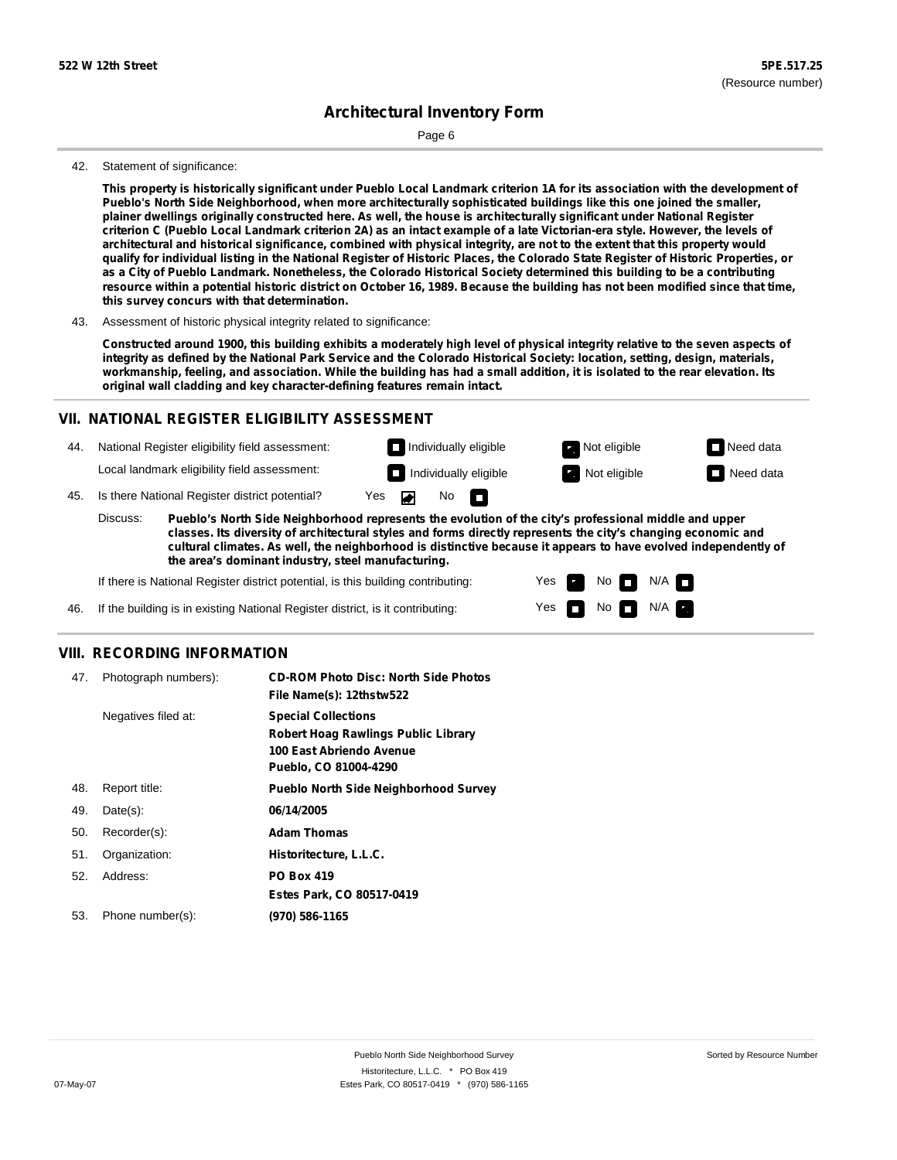Page 6

#### 42. Statement of significance:

This property is historically significant under Pueblo Local Landmark criterion 1A for its association with the development of **Pueblo's North Side Neighborhood, when more architecturally sophisticated buildings like this one joined the smaller,** plainer dwellings originally constructed here. As well, the house is architecturally significant under National Register criterion C (Pueblo Local Landmark criterion 2A) as an intact example of a late Victorian-era style. However, the levels of architectural and historical significance, combined with physical integrity, are not to the extent that this property would qualify for individual listing in the National Register of Historic Places, the Colorado State Register of Historic Properties, or as a City of Pueblo Landmark. Nonetheless, the Colorado Historical Society determined this building to be a contributing resource within a potential historic district on October 16, 1989. Because the building has not been modified since that time, **this survey concurs with that determination.**

43. Assessment of historic physical integrity related to significance:

Constructed around 1900, this building exhibits a moderately high level of physical integrity relative to the seven aspects of integrity as defined by the National Park Service and the Colorado Historical Society: location, setting, design, materials, workmanship, feeling, and association. While the building has had a small addition, it is isolated to the rear elevation. Its **original wall cladding and key character-defining features remain intact.**

#### **VII. NATIONAL REGISTER ELIGIBILITY ASSESSMENT**

44. National Register eligibility field assessment:

Local landmark eligibility field assessment:

45. Is there National Register district potential? Yes ◚

**Pueblo's North Side Neighborhood represents the evolution of the city's professional middle and upper classes. Its diversity of architectural styles and forms directly represents the city's changing economic and cultural climates. As well, the neighborhood is distinctive because it appears to have evolved independently of the area's dominant industry, steel manufacturing.** Discuss:

No

IT.

Yes Yes No

**Individually eligible Not eligible** Not eligible **Need data Individually eligible Not eligible** Not eligible **Need data** 

 $No$   $M/A$ 

N/A

If there is National Register district potential, is this building contributing:

If the building is in existing National Register district, is it contributing: 46.

#### **VIII. RECORDING INFORMATION**

| 47. | Photograph numbers): | <b>CD-ROM Photo Disc: North Side Photos</b><br>File Name(s): 12thstw522                                                       |
|-----|----------------------|-------------------------------------------------------------------------------------------------------------------------------|
|     | Negatives filed at:  | <b>Special Collections</b><br><b>Robert Hoag Rawlings Public Library</b><br>100 East Abriendo Avenue<br>Pueblo, CO 81004-4290 |
| 48. | Report title:        | <b>Pueblo North Side Neighborhood Survey</b>                                                                                  |
| 49. | $Date(s)$ :          | 06/14/2005                                                                                                                    |
| 50. | Recorder(s):         | <b>Adam Thomas</b>                                                                                                            |
| 51. | Organization:        | Historitecture, L.L.C.                                                                                                        |
| 52. | Address:             | <b>PO Box 419</b>                                                                                                             |
|     |                      | Estes Park, CO 80517-0419                                                                                                     |
| 53. | Phone number(s):     | (970) 586-1165                                                                                                                |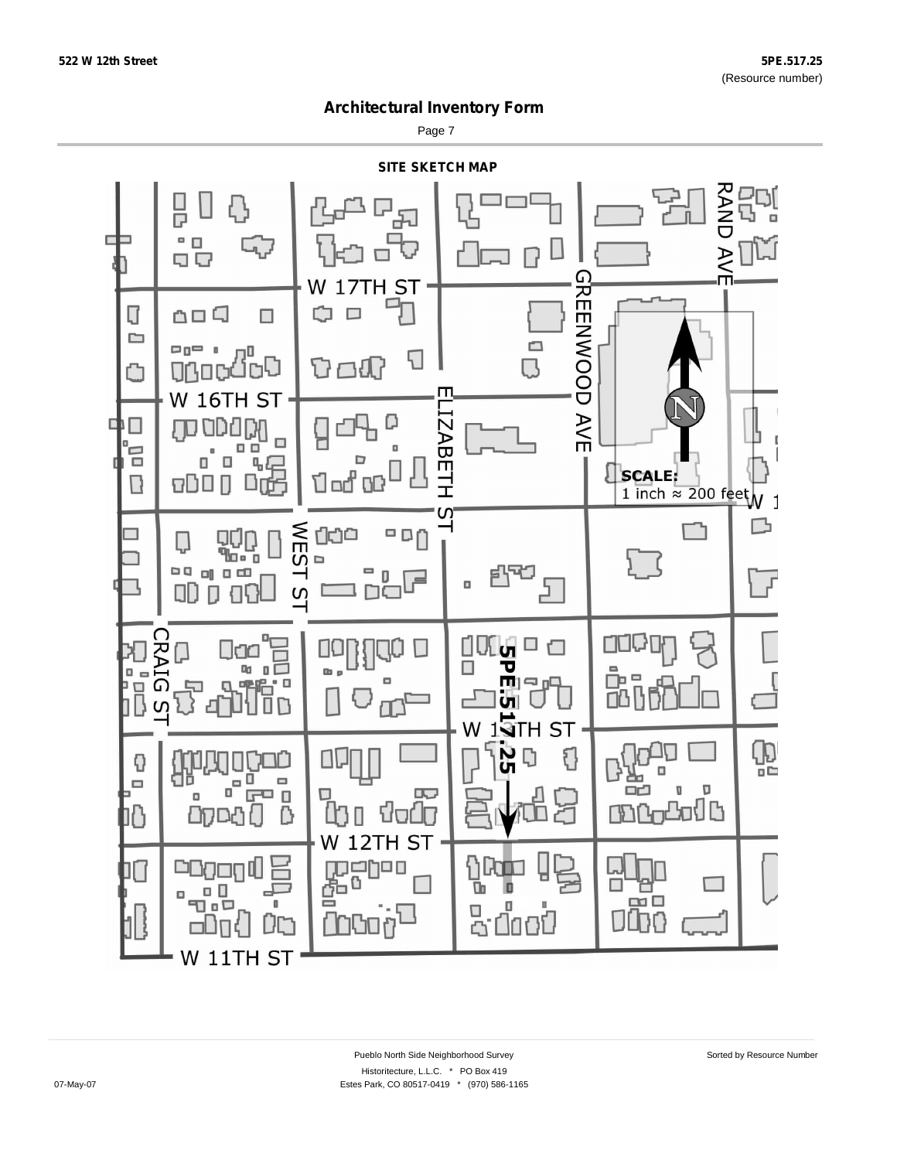Page 7